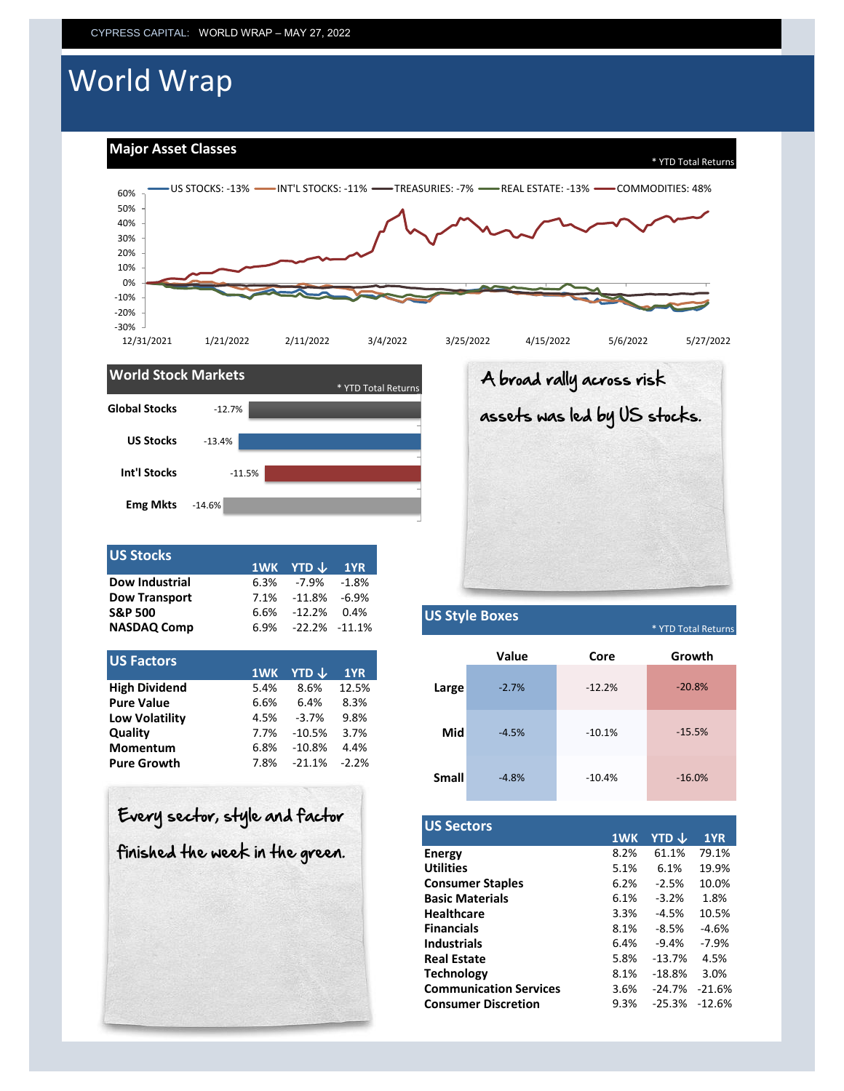# World Wrap

**Major Asset Classes**



**Small**

-4.8%



| <b>US Stocks</b>      |      |                        |  |
|-----------------------|------|------------------------|--|
|                       |      | 1WK YTD $\sqrt{ }$ 1YR |  |
| <b>Dow Industrial</b> | 6.3% | -7.9% -1.8%            |  |
| <b>Dow Transport</b>  |      | 7.1% -11.8% -6.9%      |  |
| <b>S&amp;P 500</b>    |      | 6.6% -12.2% 0.4%       |  |
| <b>NASDAQ Comp</b>    |      | 6.9% -22.2% -11.1%     |  |

| US Factors                                        |
|---------------------------------------------------|
| <b>YTD</b> $\downarrow$<br>1WK<br>1YR             |
| <b>High Dividend</b><br>12.5%<br>8.6%<br>5.4%     |
| <b>Pure Value</b><br>8.3%<br>6.4%<br>6.6%         |
| <b>Low Volatility</b><br>9.8%<br>$-3.7%$<br>4.5%  |
| Quality<br>3.7%<br>$-10.5%$<br>7.7%               |
| Momentum<br>$-10.8%$<br>4.4%<br>6.8%              |
| <b>Pure Growth</b><br>$-21.1%$<br>$-2.2%$<br>7.8% |

|                      |      | 1WK YTD $\downarrow$ | 1YR I             |
|----------------------|------|----------------------|-------------------|
| Dow Industrial       | 6.3% | -7.9%                | $-1.8%$           |
| <b>Dow Transport</b> | 7.1% | $-11.8\%$            | $-6.9%$           |
| S&P 500              | 6.6% | $-12.2%$             | 0.4%              |
| <b>NASDAQ Comp</b>   | 6.9% |                      | $-22.2\% -11.1\%$ |
|                      |      |                      |                   |
| <b>US Factors</b>    | 1WK  | YTD ↓                | 1YR               |
| <b>High Dividend</b> | 5.4% | 8.6%                 | 12.5%             |
| <b>Pure Value</b>    | 6.6% | 6.4%                 | 8.3%              |
| Low Volatility       | 4.5% | $-3.7%$              | 9.8%              |
| Quality              | 7.7% | -10.5%               | 3.7%              |
|                      |      |                      |                   |

A broad rally across risk

assets was led by US stocks.

| Every sector, style and factor  |
|---------------------------------|
| finished the week in the green. |
|                                 |
|                                 |

| <b>US Sectors</b>             |      |          |          |
|-------------------------------|------|----------|----------|
|                               | 1WK  | YTD J    | 1YR.     |
| <b>Energy</b>                 | 8.2% | 61.1%    | 79.1%    |
| <b>Utilities</b>              | 5.1% | 6.1%     | 19.9%    |
| <b>Consumer Staples</b>       | 6.2% | $-2.5%$  | 10.0%    |
| <b>Basic Materials</b>        | 6.1% | $-3.2%$  | 1.8%     |
| <b>Healthcare</b>             | 3.3% | $-4.5%$  | 10.5%    |
| <b>Financials</b>             | 8.1% | $-8.5%$  | $-4.6%$  |
| <b>Industrials</b>            | 6.4% | $-9.4%$  | $-7.9%$  |
| <b>Real Estate</b>            | 5.8% | $-13.7%$ | 4.5%     |
| <b>Technology</b>             | 8.1% | $-18.8%$ | 3.0%     |
| <b>Communication Services</b> | 3.6% | $-24.7%$ | $-21.6%$ |
| <b>Consumer Discretion</b>    | 9.3% | $-25.3%$ | $-12.6%$ |

-10.4% -16.0%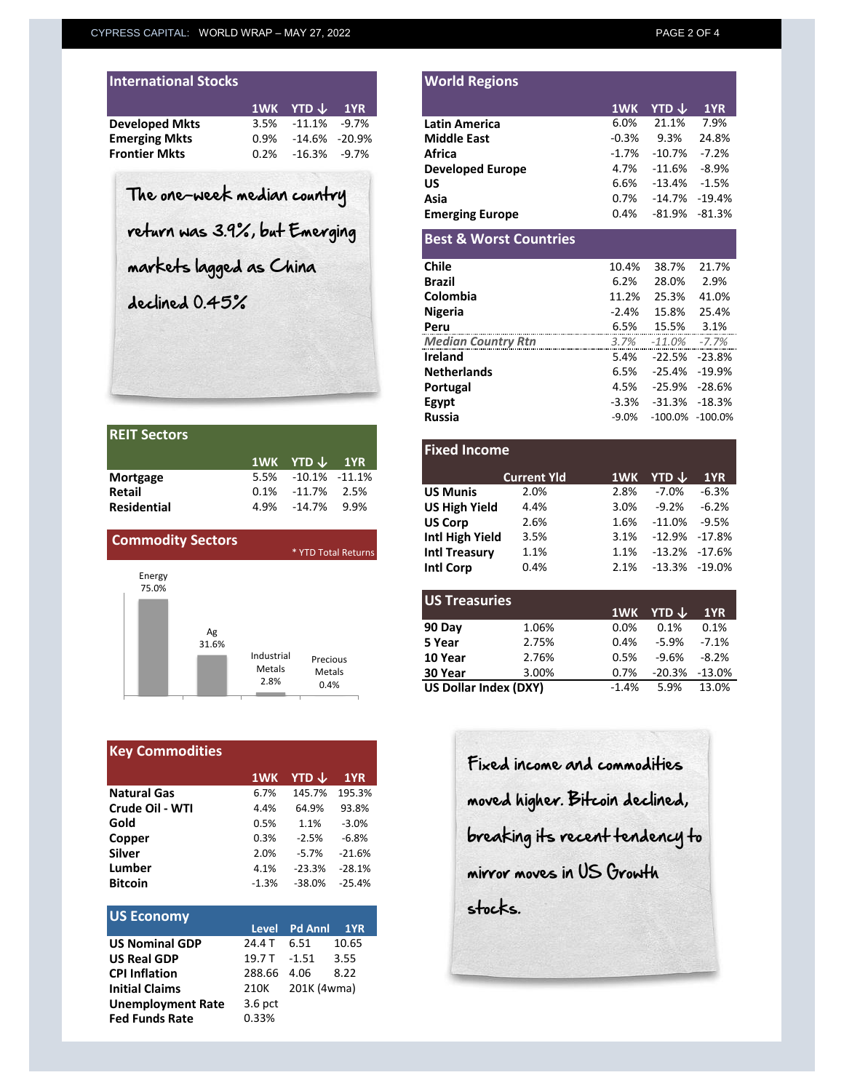|  | 1WK YTD $\downarrow$ 1YR<br>$3.5\%$ $-11.1\%$ $-9.7\%$<br>0.9% -14.6% -20.9%<br>$0.2\%$ -16.3% -9.7% |
|--|------------------------------------------------------------------------------------------------------|

| <b>REIT Sectors</b> |                           |  |
|---------------------|---------------------------|--|
|                     | $1$ WK YTD $\sqrt{ }$ 1YR |  |
| Mortgage            | 5.5% -10.1% -11.1%        |  |
| <b>Retail</b>       | $0.1\%$ -11.7% 2.5%       |  |
| <b>Residential</b>  | 4.9% -14.7% 9.9%          |  |

| <b>Commodity Sectors</b>       |                              | * YTD Total Returns        |
|--------------------------------|------------------------------|----------------------------|
| Energy<br>75.0%<br>Ag<br>31.6% | Industrial<br>Metals<br>2.8% | Precious<br>Metals<br>0.4% |

| <b>Key Commodities</b> |         |          |          |  |  |  |
|------------------------|---------|----------|----------|--|--|--|
|                        | 1WK     | YTD J    | 1YR      |  |  |  |
| <b>Natural Gas</b>     | 6.7%    | 145.7%   | 195.3%   |  |  |  |
| Crude Oil - WTI        | 4.4%    | 64.9%    | 93.8%    |  |  |  |
| Gold                   | 0.5%    | 1.1%     | $-3.0%$  |  |  |  |
| Copper                 | 0.3%    | $-2.5%$  | $-6.8%$  |  |  |  |
| <b>Silver</b>          | 2.0%    | $-5.7%$  | $-21.6%$ |  |  |  |
| Lumber                 | 4.1%    | $-23.3%$ | $-28.1%$ |  |  |  |
| <b>Bitcoin</b>         | $-1.3%$ | $-38.0%$ | $-25.4%$ |  |  |  |

| <b>US Economy</b>        |             |                  |       |
|--------------------------|-------------|------------------|-------|
|                          |             | Level Pd Annl    | 1YR   |
| <b>US Nominal GDP</b>    | 24.4 T      | 6.51             | 10.65 |
| <b>US Real GDP</b>       |             | 19.7 T-1.51 3.55 |       |
| <b>CPI Inflation</b>     | 288.66 4.06 |                  | 8.22  |
| <b>Initial Claims</b>    | 210K        | 201K (4wma)      |       |
| <b>Unemployment Rate</b> | $3.6$ pct   |                  |       |
| <b>Fed Funds Rate</b>    | 0.33%       |                  |       |

| <b>International Stocks</b>   |      |                        |                | <b>World Regions</b>              |         |                         |          |
|-------------------------------|------|------------------------|----------------|-----------------------------------|---------|-------------------------|----------|
|                               | 1WK  | YTD ↓                  | 1YR            |                                   | 1WK     | <b>YTD</b> $\downarrow$ |          |
| <b>Developed Mkts</b>         | 3.5% | $-11.1%$               | $-9.7%$        | <b>Latin America</b>              | 6.0%    | 21.1%                   |          |
| <b>Emerging Mkts</b>          | 0.9% | $-14.6%$               | $-20.9%$       | <b>Middle East</b>                | $-0.3%$ | 9.3%                    |          |
| Frontier Mkts                 | 0.2% | $-16.3%$               | $-9.7%$        | Africa                            | $-1.7%$ | $-10.7%$                |          |
|                               |      |                        |                | <b>Developed Europe</b>           | 4.7%    | $-11.6%$                |          |
|                               |      |                        |                | US                                | 6.6%    | $-13.4%$                | $-1.5%$  |
| The one-week median country   |      |                        |                | Asia                              | 0.7%    | $-14.7%$                | $-19.4%$ |
|                               |      | <b>Emerging Europe</b> | 0.4%<br>-81.9% |                                   | -81.3%  |                         |          |
| return was 3.9%, but Emerging |      |                        |                | <b>Best &amp; Worst Countries</b> |         |                         |          |
| markets lagged as China       |      |                        |                | Chile                             | 10.4%   | 38.7%                   | 21.7%    |
|                               |      |                        |                | <b>Brazil</b>                     | 6.2%    | 28.0%                   |          |
| declined 0.45%                |      |                        |                | Colombia                          | 11.2%   | 25.3%                   | 41.0%    |
|                               |      |                        |                | <b>Nigeria</b>                    | $-2.4%$ | 15.8%                   | 25.4%    |
|                               |      |                        |                | Peru                              | 6.5%    | 15.5%                   |          |

| <b>Median Country Rtn</b> | $3.7\%$ $-11.0\%$ $-7.7\%$ |  |
|---------------------------|----------------------------|--|
| Ireland                   | 5.4% -22.5% -23.8%         |  |
| <b>Netherlands</b>        | 6.5% -25.4% -19.9%         |  |
| Portugal                  | 4.5% -25.9% -28.6%         |  |
| Egypt                     | $-3.3\% -31.3\% -18.3\%$   |  |
| Russia                    | $-9.0\% -100.0\% -100.0\%$ |  |
|                           |                            |  |

|                                | 1WK  | YTD $\downarrow$ | 1YR                 | <b>Fixed Income</b>  |                    |      |                      |
|--------------------------------|------|------------------|---------------------|----------------------|--------------------|------|----------------------|
| Mortgage                       | 5.5% | $-10.1\%$        | -11.1%              |                      | <b>Current Yld</b> |      | 1WK YTD $\downarrow$ |
| <b>Retail</b>                  | 0.1% | $-11.7%$         | 2.5%                | <b>US Munis</b>      | 2.0%               | 2.8% | $-7.0%$              |
| <b>Residential</b>             | 4.9% | $-14.7\%$        | 9.9%                | <b>US High Yield</b> | 4.4%               | 3.0% | $-9.2%$              |
|                                |      |                  |                     | <b>US Corp</b>       | 2.6%               | 1.6% | $-11.0%$             |
| <b>Commodity Sectors</b>       |      |                  |                     | Intl High Yield      | 3.5%               | 3.1% | $-12.9%$             |
|                                |      |                  | * YTD Total Returns | <b>Intl Treasury</b> | 1.1%               | 1.1% | $-13.2%$             |
| <b>C</b> and the second second |      |                  |                     | <b>Intl Corp</b>     | 0.4%               | 2.1% | $-13.3%$             |

| <b>US Treasuries</b>         |         |      |                   |         |
|------------------------------|---------|------|-------------------|---------|
|                              |         | 1WK  | YTD ↓             | 1YR     |
| 90 Day                       | 1.06%   | 0.0% | 0.1%              | 0.1%    |
| 5 Year                       | 2.75%   | 0.4% | $-5.9%$           | $-7.1%$ |
| 10 Year                      | 2.76%   | 0.5% | $-9.6%$           | $-8.2%$ |
| 30 Year                      | 3.00%   | 0.7% | $-20.3\% -13.0\%$ |         |
| <b>US Dollar Index (DXY)</b> | $-1.4%$ | 5.9% | 13.0%             |         |
|                              |         |      |                   |         |

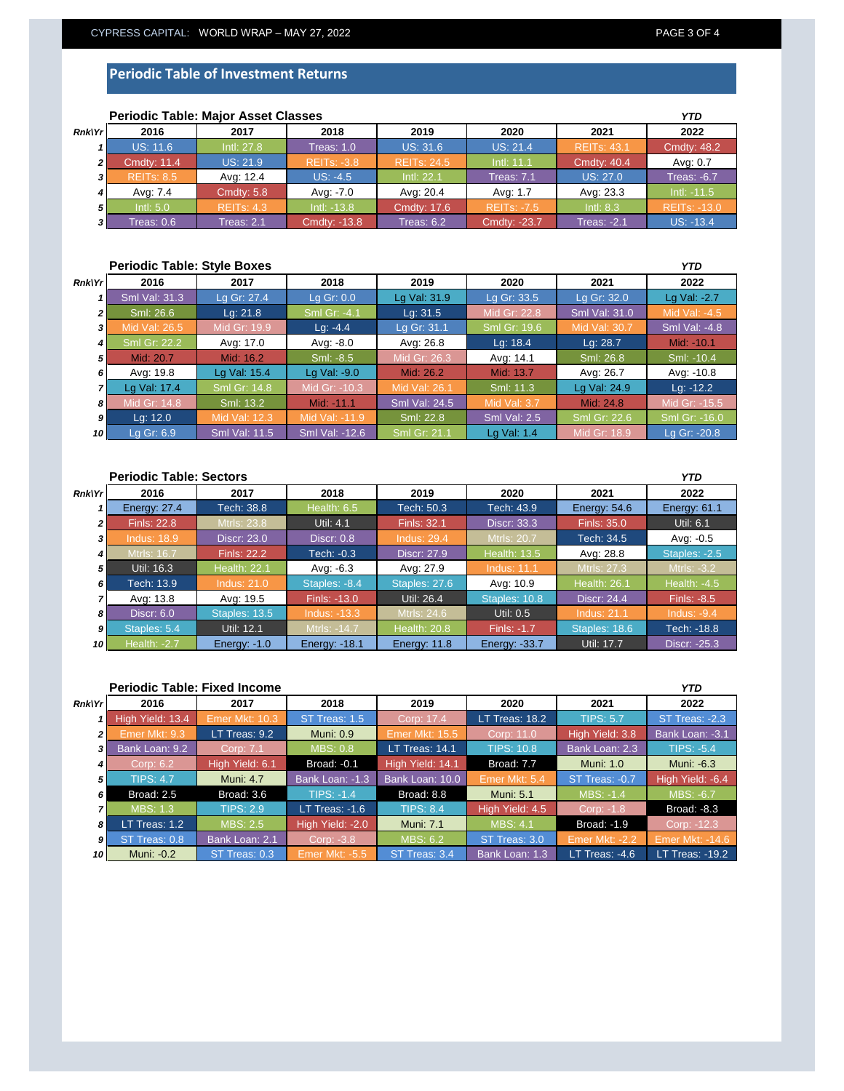### **Periodic Table of Investment Returns**

|              | <b>Periodic Table: Major Asset Classes</b> |                   |                    |                    |                    |                    |                     |
|--------------|--------------------------------------------|-------------------|--------------------|--------------------|--------------------|--------------------|---------------------|
| Rnk Yr       | 2016                                       | 2017              | 2018               | 2019               | 2020               | 2021               | 2022                |
|              | <b>US: 11.6</b>                            | Intl: 27.8        | Treas: 1.0         | <b>US: 31.6</b>    | <b>US: 21.4</b>    | <b>REITS: 43.1</b> | <b>Cmdty: 48.2</b>  |
| $\mathbf{2}$ | <b>Cmdtv: 11.4</b>                         | US: 21.9          | <b>REITS: -3.8</b> | <b>REITS: 24.5</b> | Intl: 11.1         | <b>Cmdty: 40.4</b> | Avg: 0.7            |
|              | <b>REITs: 8.5</b>                          | Avg: 12.4         | $US: -4.5$         | Intl: 22.1         | <b>Treas: 7.1</b>  | US: 27.0           | <b>Treas: -6.7</b>  |
|              | Ava: 7.4                                   | <b>Cmdty: 5.8</b> | Avg: -7.0          | Avg: 20.4          | Avg: 1.7           | Avg: 23.3          | $Int: -11.5$        |
| 5            | Int: 5.0                                   | <b>REITS: 4.3</b> | $Intl: -13.8$      | <b>Cmdtv: 17.6</b> | <b>REITs: -7.5</b> | Intl: 8.3          | <b>REITS: -13.0</b> |
| 31           | Treas: 0.6                                 | Treas: 2.1        | Cmdty: -13.8       | Treas: $6.2$       | Cmdty: -23.7       | <b>Treas: -2.1</b> | $US: -13.4$         |

# **Periodic Table: Major Asset Classes**

#### **Periodic Table: Style Boxes** *Rnk\Yr 1 2 3 4 5 6 7 8 9 10* **2021 2022** Sml Val: 31.3 Sml Val: -4.8 Lg Gr: 27.4 | Lg Gr: 0.0 | Lg Val: 31.9 | Lg Gr: 33.5 *YTD* **2016 2017 2018 2019 2020** Lg Gr: 32.0 Lg Val: -2.7 Mid: -10.1 <u>Mid Val: 26.5 Mid Gr: 19.9</u><br>Sml Gr: 22.2 Avg: 17.0 Sml: 26.6 Lg: 21.8 Sml Gr: -4.1 Lg: 31.5 Mid Gr: 22.8 Sml Val: 31.0 Sml: -8.5 Mid Gr: 26.3 Avg: 14.1 Lg: -4.4 Lg Gr: 31.1 Sml Gr: 19.6 Mid Value Sml: 26.8 Avg: 17.0 Avg: -8.0 Avg: 26.8 Lg: 18.4 Lg: 28.7 Sml: -10.4 Avg: -10.8 Lg Val: 24.9 Lg: -12.2 14.8 Sml: 13.2 Mid: -11.1 Sml Val: 24.5 Mid Val: 3.7 Mid: 24.8 Mid Gr: -15.5 Lg Val: 17.4 Avg: 19.8 Lg Val: 15.4 Lg Val: -9.0 Mid: 26.2 Mid: 13.7 Avg: 26.7 Sml Gr: 14.8 Mid Gr: -10.3 Mid Val: 26.1 Sml: 11.3 Mid: 20.7 | Mid: 16.2 Mid Gr: 18.9 Lg Gr: -20.8 Lg: 12.0 Mid Val: 12.3 Mid Val: -11.9 Sml: 22.8 Sml Val: 2.5 Sml Gr: 22.6 Sml Gr: -16.0 Lg Gr: 6.9 Sml Val: 11.5 Sml Val: -12.6 Sml Gr: 21.1 Lg Val: 1.4

|                | <b>Periodic Table: Sectors</b> |                     |                      |                     |                      |                     |                     |
|----------------|--------------------------------|---------------------|----------------------|---------------------|----------------------|---------------------|---------------------|
| <b>Rnk\Yr</b>  | 2016                           | 2017                | 2018                 | 2019                | 2020                 | 2021                | 2022                |
|                | <b>Energy: 27.4</b>            | Tech: 38.8          | Health: 6.5          | Tech: 50.3          | Tech: 43.9           | Energy: $54.6$      | <b>Energy: 61.1</b> |
| $\overline{2}$ | <b>Finls: 22.8</b>             | <b>Mtrls: 23.8</b>  | Util: 4.1            | <b>Finls: 32.1</b>  | <b>Discr: 33.3</b>   | Finls: 35.0         | Util: 6.1           |
| 3              | <b>Indus: 18.9</b>             | <b>Discr: 23.0</b>  | Discr: $0.8$         | <b>Indus: 29.4</b>  | <b>Mtrls: 20.7</b>   | Tech: 34.5          | Avg: -0.5           |
| 4              | Mtrls: 16.7                    | <b>Finls: 22.2</b>  | Tech: -0.3           | Discr: 27.9         | <b>Health: 13.5</b>  | Avg: 28.8           | Staples: -2.5       |
| 5              | Util: 16.3                     | <b>Health: 22.1</b> | Avg: -6.3            | Avg: 27.9           | <b>Indus: 11.1</b>   | Mtrls: 27.3         | Mtrls: -3.2         |
| 6              | Tech: 13.9                     | <b>Indus: 21.0</b>  | Staples: -8.4        | Staples: 27.6       | Avg: 10.9            | <b>Health: 26.1</b> | <b>Health: -4.5</b> |
|                | Avg: 13.8                      | Avg: 19.5           | Finls: -13.0         | Util: 26.4          | Staples: 10.8        | <b>Discr: 24.4</b>  | <b>Finls: -8.5</b>  |
| 8              | <b>Discr: 6.0</b>              | Staples: 13.5       | $Indus: -13.3$       | Mtrls: 24.6         | Util: 0.5            | <b>Indus: 21.1</b>  | Indus: $-9.4$       |
| $\mathbf{g}$   | Staples: 5.4                   | Util: 12.1          | Mtrls: -14.7         | <b>Health: 20.8</b> | Finls: -1.7          | Staples: 18.6       | Tech: -18.8         |
| 10             | <b>Health: -2.7</b>            | Energy: $-1.0$      | <b>Energy: -18.1</b> | Energy: 11.8        | <b>Energy: -33.7</b> | Util: 17.7          | Discr: -25.3        |

|                 | <b>Periodic Table: Fixed Income</b> |                  |                    |                  |                   |                       |                        |  |
|-----------------|-------------------------------------|------------------|--------------------|------------------|-------------------|-----------------------|------------------------|--|
| <b>Rnk\Yr</b>   | 2016                                | 2017             | 2018               | 2019             | 2020              | 2021                  | 2022                   |  |
|                 | High Yield: 13.4                    | Emer Mkt: 10.3   | ST Treas: 1.5      | Corp: 17.4       | LT Treas: $18.2$  | <b>TIPS: 5.7</b>      | ST Treas: -2.3         |  |
| 21              | Emer Mkt: 9.3                       | LT Treas: 9.2    | <b>Muni: 0.9</b>   | Emer Mkt: 15.5   | Corp: 11.0        | High Yield: 3.8       | Bank Loan: -3.1        |  |
| 3 I             | Bank Loan: 9.2                      | Corp: 7.1        | <b>MBS: 0.8</b>    | LT Treas: 14.1   | <b>TIPS: 10.8</b> | Bank Loan: 2.3        | <b>TIPS: -5.4</b>      |  |
| 4 I             | Corp: 6.2                           | High Yield: 6.1  | <b>Broad: -0.1</b> | High Yield: 14.1 | Broad: 7.7        | <b>Muni: 1.0</b>      | Muni: -6.3             |  |
| 5               | <b>TIPS: 4.7</b>                    | <b>Muni: 4.7</b> | Bank Loan: -1.3    | Bank Loan: 10.0  | Emer Mkt: 5.4     | ST Treas: -0.7        | High Yield: -6.4       |  |
| 6 I             | Broad: 2.5                          | Broad: 3.6       | $TIPS: -1.4$       | Broad: 8.8       | <b>Muni: 5.1</b>  | MBS: -1.4             | <b>MBS: -6.7</b>       |  |
|                 | <b>MBS: 1.3</b>                     | <b>TIPS: 2.9</b> | LT Treas: $-1.6$   | <b>TIPS: 8.4</b> | High Yield: 4.5   | Corp: -1.8            | Broad: -8.3            |  |
| 8               | LT Treas: $1.2$                     | <b>MBS: 2.5</b>  | High Yield: -2.0   | <b>Muni: 7.1</b> | MBS: 4.1          | Broad: -1.9           | Corp: -12.3            |  |
| 9 I             | ST Treas: 0.8                       | Bank Loan: 2.1   | Corp: -3.8         | <b>MBS: 6.2</b>  | ST Treas: 3.0     | <b>Emer Mkt: -2.2</b> | <b>Emer Mkt: -14.6</b> |  |
| 10 <sup>1</sup> | Muni: -0.2                          | ST Treas: 0.3    | Emer Mkt: -5.5     | ST Treas: 3.4    | Bank Loan: 1.3    | LT Treas: $-4.6$      | LT Treas: -19.2        |  |